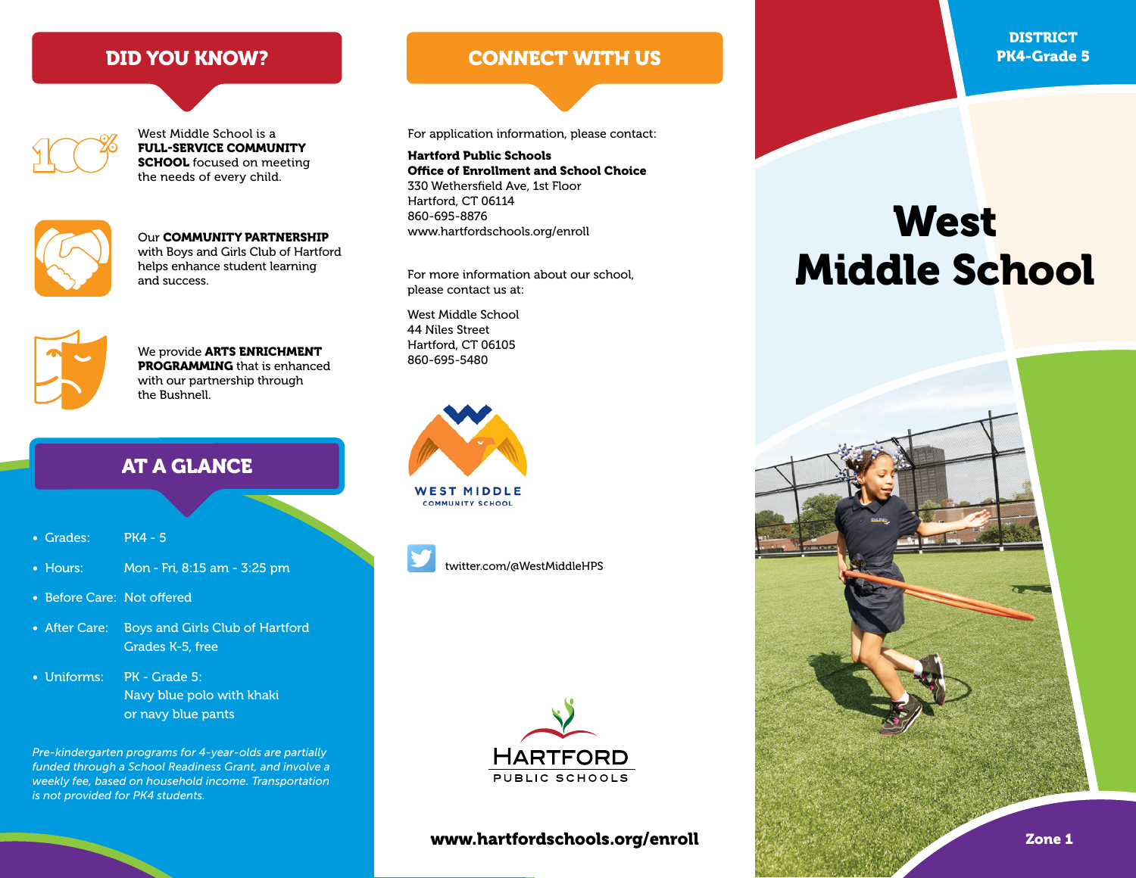$\mathop{\mathrm{TC}}\nolimits^{\mathscr{G}}$ 

West Middle School is a FULL-SERVICE COMMUNITY **SCHOOL** focused on meeting the needs of every child.



www.hartfordschools.org/enroll Our COMMUNITY PARTNERSHIP with Boys and Girls Club of Hartford helps enhance student learning and success.

We provide **ARTS ENRICHMENT** PROGRAMMING that is enhanced with our partnership through the Bushnell.

# AT A GLANCE

- Grades: PK4 5
- Hours: Mon Fri, 8:15 am 3:25 pm
- Before Care: Not offered
- After Care: Boys and Girls Club of Hartford Grades K-5, free
- Uniforms: PK Grade 5: Navy blue polo with khaki or navy blue pants

*Pre-kindergarten programs for 4-year-olds are partially funded through a School Readiness Grant, and involve a weekly fee, based on household income. Transportation is not provided for PK4 students.*

# DID YOU KNOW? CONNECT WITH US

For application information, please contact:

Hartford Public Schools Office of Enrollment and School Choice 330 Wethersfield Ave, 1st Floor Hartford, CT 06114 860-695-8876

For more information about our school, please contact us at:

West Middle School 44 Niles Street Hartford, CT 06105 860-695-5480





twitter.com/@WestMiddleHPS



#### www.hartfordschools.org/enroll Zone 1

**DISTRICT** PK4-Grade 5

# **West** Middle School